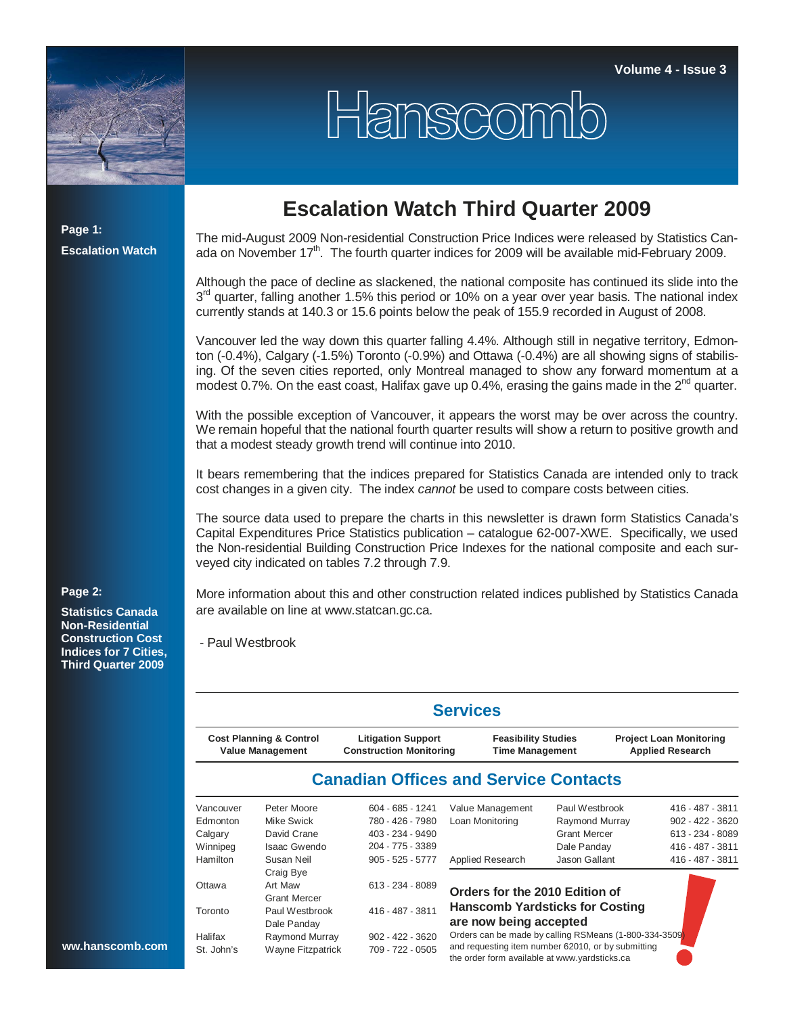

Hanscomb

## **Page 1: Escalation Watch**

## **Escalation Watch Third Quarter 2009**

The mid-August 2009 Non-residential Construction Price Indices were released by Statistics Canada on November  $17<sup>th</sup>$ . The fourth quarter indices for 2009 will be available mid-February 2009.

Although the pace of decline as slackened, the national composite has continued its slide into the  $3<sup>rd</sup>$  quarter, falling another 1.5% this period or 10% on a year over year basis. The national index currently stands at 140.3 or 15.6 points below the peak of 155.9 recorded in August of 2008.

Vancouver led the way down this quarter falling 4.4%. Although still in negative territory, Edmonton (-0.4%), Calgary (-1.5%) Toronto (-0.9%) and Ottawa (-0.4%) are all showing signs of stabilising. Of the seven cities reported, only Montreal managed to show any forward momentum at a modest 0.7%. On the east coast, Halifax gave up 0.4%, erasing the gains made in the  $2^{nd}$  quarter.

With the possible exception of Vancouver, it appears the worst may be over across the country. We remain hopeful that the national fourth quarter results will show a return to positive growth and that a modest steady growth trend will continue into 2010.

It bears remembering that the indices prepared for Statistics Canada are intended only to track cost changes in a given city. The index *cannot* be used to compare costs between cities.

The source data used to prepare the charts in this newsletter is drawn form Statistics Canada's Capital Expenditures Price Statistics publication – catalogue 62-007-XWE. Specifically, we used the Non-residential Building Construction Price Indexes for the national composite and each surveyed city indicated on tables 7.2 through 7.9.

More information about this and other construction related indices published by Statistics Canada are available on line at www.statcan.gc.ca.

- Paul Westbrook

|            |                                                               |                                                             | <b>Services</b>                                        |                     |                                                           |
|------------|---------------------------------------------------------------|-------------------------------------------------------------|--------------------------------------------------------|---------------------|-----------------------------------------------------------|
|            | <b>Cost Planning &amp; Control</b><br><b>Value Management</b> | <b>Litigation Support</b><br><b>Construction Monitoring</b> | <b>Feasibility Studies</b><br><b>Time Management</b>   |                     | <b>Project Loan Monitoring</b><br><b>Applied Research</b> |
|            |                                                               |                                                             | <b>Canadian Offices and Service Contacts</b>           |                     |                                                           |
| Vancouver  | Peter Moore                                                   | 604 - 685 - 1241                                            | Value Management                                       | Paul Westbrook      | 416 - 487 - 3811                                          |
| Edmonton   | Mike Swick                                                    | 780 - 426 - 7980                                            | Loan Monitoring                                        | Raymond Murray      | 902 - 422 - 3620                                          |
| Calgary    | David Crane                                                   | 403 - 234 - 9490                                            |                                                        | <b>Grant Mercer</b> | 613 - 234 - 8089                                          |
| Winnipeg   | <b>Isaac Gwendo</b>                                           | 204 - 775 - 3389                                            |                                                        | Dale Panday         | 416 - 487 - 3811                                          |
| Hamilton   | Susan Neil                                                    | $905 - 525 - 5777$                                          | Applied Research                                       | Jason Gallant       | 416 - 487 - 3811                                          |
|            | Craig Bye                                                     |                                                             |                                                        |                     |                                                           |
| Ottawa     | Art Maw                                                       | 613 - 234 - 8089                                            | Orders for the 2010 Edition of                         |                     |                                                           |
|            | <b>Grant Mercer</b>                                           |                                                             |                                                        |                     |                                                           |
| Toronto    | Paul Westbrook                                                | 416 - 487 - 3811                                            | <b>Hanscomb Yardsticks for Costing</b>                 |                     |                                                           |
|            | Dale Panday                                                   |                                                             | are now being accepted                                 |                     |                                                           |
| Halifax    | Raymond Murray                                                | 902 - 422 - 3620                                            | Orders can be made by calling RSMeans (1-800-334-3509) |                     |                                                           |
| St. John's | <b>Wayne Fitzpatrick</b>                                      | 709 - 722 - 0505                                            | and requesting item number 62010, or by submitting     |                     |                                                           |

the order form available at www.yardsticks.ca

## **Page 2:**

**Statistics Canada Non-Residential Construction Cost Indices for 7 Cities, Third Quarter 2009**